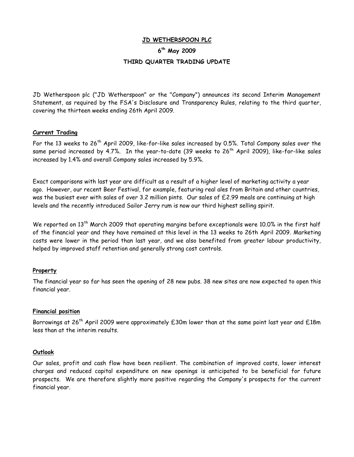## **JD WETHERSPOON PLC**

# **6 th May 2009 THIRD QUARTER TRADING UPDATE**

JD Wetherspoon plc ("JD Wetherspoon" or the "Company") announces its second Interim Management Statement, as required by the FSA's Disclosure and Transparency Rules, relating to the third quarter, covering the thirteen weeks ending 26th April 2009.

#### **Current Trading**

For the 13 weeks to 26<sup>th</sup> April 2009, like-for-like sales increased by 0.5%. Total Company sales over the same period increased by 4.7%. In the year-to-date (39 weeks to  $26<sup>th</sup>$  April 2009), like-for-like sales increased by 1.4% and overall Company sales increased by 5.9%.

Exact comparisons with last year are difficult as a result of a higher level of marketing activity a year ago. However, our recent Beer Festival, for example, featuring real ales from Britain and other countries, was the busiest ever with sales of over 3.2 million pints. Our sales of £2.99 meals are continuing at high levels and the recently introduced Sailor Jerry rum is now our third highest selling spirit.

We reported on 13<sup>th</sup> March 2009 that operating margins before exceptionals were 10.0% in the first half of the financial year and they have remained at this level in the 13 weeks to 26th April 2009. Marketing costs were lower in the period than last year, and we also benefited from greater labour productivity, helped by improved staff retention and generally strong cost controls.

# **Property**

The financial year so far has seen the opening of 28 new pubs. 38 new sites are now expected to open this financial year.

# **Financial position**

Borrowings at  $26^{th}$  April 2009 were approximately  $E30$ m lower than at the same point last year and  $E18$ m less than at the interim results.

#### **Outlook**

Our sales, profit and cash flow have been resilient. The combination of improved costs, lower interest charges and reduced capital expenditure on new openings is anticipated to be beneficial for future prospects. We are therefore slightly more positive regarding the Company's prospects for the current financial year.